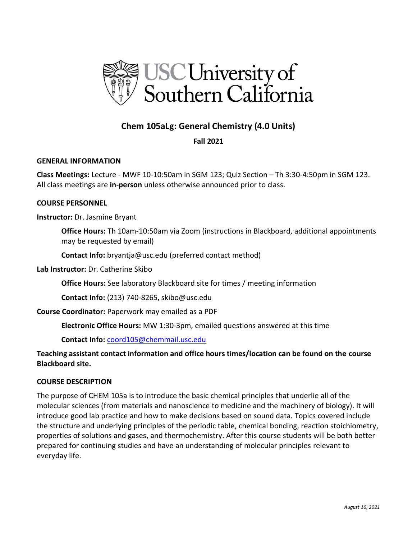

# **Chem 105aLg: General Chemistry (4.0 Units)**

# **Fall 2021**

### **GENERAL INFORMATION**

**Class Meetings:** Lecture - MWF 10-10:50am in SGM 123; Quiz Section – Th 3:30-4:50pm in SGM 123. All class meetings are **in-person** unless otherwise announced prior to class.

### **COURSE PERSONNEL**

### **Instructor:** Dr. Jasmine Bryant

**Office Hours:** Th 10am-10:50am via Zoom (instructions in Blackboard, additional appointments may be requested by email)

**Contact Info:** bryantja@usc.edu (preferred contact method)

**Lab Instructor:** Dr. Catherine Skibo

**Office Hours:** See laboratory Blackboard site for times / meeting information

**Contact Info:** (213) 740-8265, skibo@usc.edu

**Course Coordinator:** Paperwork may emailed as a PDF

**Electronic Office Hours:** MW 1:30-3pm, emailed questions answered at this time

**Contact Info:** [coord105@chemmail.usc.edu](mailto:coord105@chemmail.usc.edu)

**Teaching assistant contact information and office hours times/location can be found on the course Blackboard site.**

### **COURSE DESCRIPTION**

The purpose of CHEM 105a is to introduce the basic chemical principles that underlie all of the molecular sciences (from materials and nanoscience to medicine and the machinery of biology). It will introduce good lab practice and how to make decisions based on sound data. Topics covered include the structure and underlying principles of the periodic table, chemical bonding, reaction stoichiometry, properties of solutions and gases, and thermochemistry. After this course students will be both better prepared for continuing studies and have an understanding of molecular principles relevant to everyday life.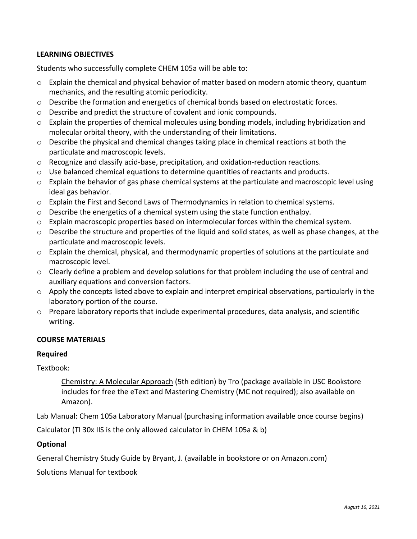# **LEARNING OBJECTIVES**

Students who successfully complete CHEM 105a will be able to:

- o Explain the chemical and physical behavior of matter based on modern atomic theory, quantum mechanics, and the resulting atomic periodicity.
- $\circ$  Describe the formation and energetics of chemical bonds based on electrostatic forces.
- o Describe and predict the structure of covalent and ionic compounds.
- $\circ$  Explain the properties of chemical molecules using bonding models, including hybridization and molecular orbital theory, with the understanding of their limitations.
- o Describe the physical and chemical changes taking place in chemical reactions at both the particulate and macroscopic levels.
- $\circ$  Recognize and classify acid-base, precipitation, and oxidation-reduction reactions.
- o Use balanced chemical equations to determine quantities of reactants and products.
- $\circ$  Explain the behavior of gas phase chemical systems at the particulate and macroscopic level using ideal gas behavior.
- o Explain the First and Second Laws of Thermodynamics in relation to chemical systems.
- $\circ$  Describe the energetics of a chemical system using the state function enthalpy.
- $\circ$  Explain macroscopic properties based on intermolecular forces within the chemical system.
- o Describe the structure and properties of the liquid and solid states, as well as phase changes, at the particulate and macroscopic levels.
- $\circ$  Explain the chemical, physical, and thermodynamic properties of solutions at the particulate and macroscopic level.
- $\circ$  Clearly define a problem and develop solutions for that problem including the use of central and auxiliary equations and conversion factors.
- o Apply the concepts listed above to explain and interpret empirical observations, particularly in the laboratory portion of the course.
- $\circ$  Prepare laboratory reports that include experimental procedures, data analysis, and scientific writing.

# **COURSE MATERIALS**

### **Required**

Textbook:

Chemistry: A Molecular Approach (5th edition) by Tro (package available in USC Bookstore includes for free the eText and Mastering Chemistry (MC not required); also available on Amazon).

Lab Manual: Chem 105a Laboratory Manual (purchasing information available once course begins)

Calculator (TI 30x IIS is the only allowed calculator in CHEM 105a & b)

# **Optional**

General Chemistry Study Guide by Bryant, J. (available in bookstore or on Amazon.com)

Solutions Manual for textbook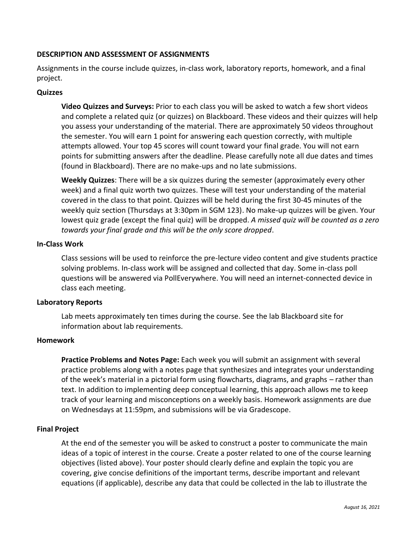# **DESCRIPTION AND ASSESSMENT OF ASSIGNMENTS**

Assignments in the course include quizzes, in-class work, laboratory reports, homework, and a final project.

## **Quizzes**

**Video Quizzes and Surveys:** Prior to each class you will be asked to watch a few short videos and complete a related quiz (or quizzes) on Blackboard. These videos and their quizzes will help you assess your understanding of the material. There are approximately 50 videos throughout the semester. You will earn 1 point for answering each question correctly, with multiple attempts allowed. Your top 45 scores will count toward your final grade. You will not earn points for submitting answers after the deadline. Please carefully note all due dates and times (found in Blackboard). There are no make-ups and no late submissions.

**Weekly Quizzes**: There will be a six quizzes during the semester (approximately every other week) and a final quiz worth two quizzes. These will test your understanding of the material covered in the class to that point. Quizzes will be held during the first 30-45 minutes of the weekly quiz section (Thursdays at 3:30pm in SGM 123). No make-up quizzes will be given. Your lowest quiz grade (except the final quiz) will be dropped. *A missed quiz will be counted as a zero towards your final grade and this will be the only score dropped*.

### **In-Class Work**

Class sessions will be used to reinforce the pre-lecture video content and give students practice solving problems. In-class work will be assigned and collected that day. Some in-class poll questions will be answered via PollEverywhere. You will need an internet-connected device in class each meeting.

### **Laboratory Reports**

Lab meets approximately ten times during the course. See the lab Blackboard site for information about lab requirements.

### **Homework**

**Practice Problems and Notes Page:** Each week you will submit an assignment with several practice problems along with a notes page that synthesizes and integrates your understanding of the week's material in a pictorial form using flowcharts, diagrams, and graphs – rather than text. In addition to implementing deep conceptual learning, this approach allows me to keep track of your learning and misconceptions on a weekly basis. Homework assignments are due on Wednesdays at 11:59pm, and submissions will be via Gradescope.

### **Final Project**

At the end of the semester you will be asked to construct a poster to communicate the main ideas of a topic of interest in the course. Create a poster related to one of the course learning objectives (listed above). Your poster should clearly define and explain the topic you are covering, give concise definitions of the important terms, describe important and relevant equations (if applicable), describe any data that could be collected in the lab to illustrate the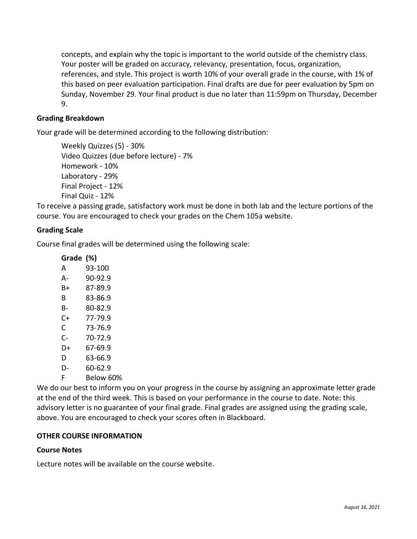concepts, and explain why the topic is important to the world outside of the chemistry class. Your poster will be graded on accuracy, relevancy, presentation, focus, organization, references, and style. This project is worth 10% of your overall grade in the course, with 1% of this based on peer evaluation participation. Final drafts are due for peer evaluation by 5pm on Sunday, November 29. Your final product is due no later than 11:59pm on Thursday, December 9.

# **Grading Breakdown**

Your grade will be determined according to the following distribution:

Weekly Quizzes (5) - 30% Video Quizzes (due before lecture) - 7% Homework - 10% Laboratory - 29% Final Project - 12% Final Quiz - 12%

To receive a passing grade, satisfactory work must be done in both lab and the lecture portions of the course. You are encouraged to check your grades on the Chem 105a website.

# **Grading Scale**

Course final grades will be determined using the following scale:

| Grade (%) |           |
|-----------|-----------|
| А         | 93-100    |
| А-        | 90-92.9   |
| B+        | 87-89.9   |
| B         | 83-86.9   |
| B-        | 80-82.9   |
| C+        | 77-79.9   |
| C         | 73-76.9   |
| C-        | 70-72.9   |
| D+        | 67-69.9   |
| D         | 63-66.9   |
| D-        | 60-62.9   |
| F         | Below 60% |

We do our best to inform you on your progress in the course by assigning an approximate letter grade at the end of the third week. This is based on your performance in the course to date. Note: this advisory letter is no guarantee of your final grade. Final grades are assigned using the grading scale, above. You are encouraged to check your scores often in Blackboard.

# **OTHER COURSE INFORMATION**

### **Course Notes**

Lecture notes will be available on the course website.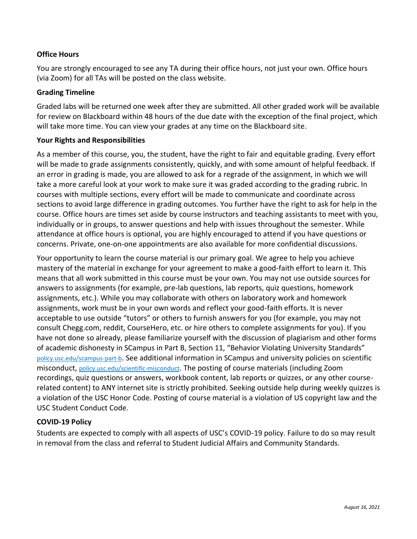# **Office Hours**

You are strongly encouraged to see any TA during their office hours, not just your own. Office hours (via Zoom) for all TAs will be posted on the class website.

### **Grading Timeline**

Graded labs will be returned one week after they are submitted. All other graded work will be available for review on Blackboard within 48 hours of the due date with the exception of the final project, which will take more time. You can view your grades at any time on the Blackboard site.

### **Your Rights and Responsibilities**

As a member of this course, you, the student, have the right to fair and equitable grading. Every effort will be made to grade assignments consistently, quickly, and with some amount of helpful feedback. If an error in grading is made, you are allowed to ask for a regrade of the assignment, in which we will take a more careful look at your work to make sure it was graded according to the grading rubric. In courses with multiple sections, every effort will be made to communicate and coordinate across sections to avoid large difference in grading outcomes. You further have the right to ask for help in the course. Office hours are times set aside by course instructors and teaching assistants to meet with you, individually or in groups, to answer questions and help with issues throughout the semester. While attendance at office hours is optional, you are highly encouraged to attend if you have questions or concerns. Private, one-on-one appointments are also available for more confidential discussions.

Your opportunity to learn the course material is our primary goal. We agree to help you achieve mastery of the material in exchange for your agreement to make a good-faith effort to learn it. This means that all work submitted in this course must be your own. You may not use outside sources for answers to assignments (for example, pre-lab questions, lab reports, quiz questions, homework assignments, etc.). While you may collaborate with others on laboratory work and homework assignments, work must be in your own words and reflect your good-faith efforts. It is never acceptable to use outside "tutors" or others to furnish answers for you (for example, you may not consult Chegg.com, reddit, CourseHero, etc. or hire others to complete assignments for you). If you have not done so already, please familiarize yourself with the discussion of plagiarism and other forms of academic dishonesty in SCampus in Part B, Section 11, "Behavior Violating University Standards" [policy.usc.edu/scampus-part-b](https://policy.usc.edu/scampus-part-b/). See additional information in SCampus and university policies on scientific misconduct, [policy.usc.edu/scientific-misconduct](http://policy.usc.edu/scientific-misconduct). The posting of course materials (including Zoom recordings, quiz questions or answers, workbook content, lab reports or quizzes, or any other courserelated content) to ANY internet site is strictly prohibited. Seeking outside help during weekly quizzes is a violation of the USC Honor Code. Posting of course material is a violation of US copyright law and the USC Student Conduct Code.

# **COVID-19 Policy**

Students are expected to comply with all aspects of USC's COVID-19 policy. Failure to do so may result in removal from the class and referral to Student Judicial Affairs and Community Standards.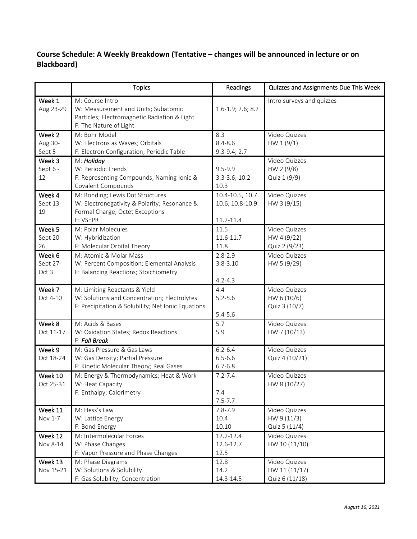# **Course Schedule: A Weekly Breakdown (Tentative – changes will be announced in lecture or on Blackboard)**

|                             | <b>Topics</b>                                                                                                                       | <b>Readings</b>                                 | Quizzes and Assignments Due This Week            |
|-----------------------------|-------------------------------------------------------------------------------------------------------------------------------------|-------------------------------------------------|--------------------------------------------------|
| Week 1<br>Aug 23-29         | M: Course Intro<br>W: Measurement and Units; Subatomic<br>Particles; Electromagnetic Radiation & Light<br>F: The Nature of Light    | $1.6 - 1.9; 2.6; 8.2$                           | Intro surveys and quizzes                        |
| Week 2<br>Aug 30-<br>Sept 5 | M: Bohr Model<br>W: Electrons as Waves; Orbitals<br>F: Electron Configuration; Periodic Table                                       | 8.3<br>$8.4 - 8.6$<br>$9.3 - 9.4; 2.7$          | Video Quizzes<br>HW 1 (9/1)                      |
| Week 3<br>Sept 6 -<br>12    | M: Holiday<br>W: Periodic Trends<br>F: Representing Compounds; Naming Ionic &<br>Covalent Compounds                                 | $9.5 - 9.9$<br>3.3-3.6; 10.2-<br>10.3           | Video Quizzes<br>HW 2 (9/8)<br>Quiz 1 (9/9)      |
| Week 4<br>Sept 13-<br>19    | M: Bonding; Lewis Dot Structures<br>W: Electronegativity & Polarity; Resonance &<br>Formal Charge; Octet Exceptions<br>F: VSEPR     | 10.4-10.5, 10.7<br>10.6, 10.8-10.9<br>11.2-11.4 | Video Quizzes<br>HW 3 (9/15)                     |
| Week 5<br>Sept 20-<br>26    | M: Polar Molecules<br>W: Hybridization<br>F: Molecular Orbital Theory                                                               | 11.5<br>11.6-11.7<br>11.8                       | Video Quizzes<br>HW 4 (9/22)<br>Quiz 2 (9/23)    |
| Week 6<br>Sept 27-<br>Oct 3 | M: Atomic & Molar Mass<br>W: Percent Composition; Elemental Analysis<br>F: Balancing Reactions; Stoichiometry                       | $2.8 - 2.9$<br>$3.8 - 3.10$<br>$4.2 - 4.3$      | Video Quizzes<br>HW 5 (9/29)                     |
| Week 7<br>Oct 4-10          | M: Limiting Reactants & Yield<br>W: Solutions and Concentration; Electrolytes<br>F: Precipitation & Solubility; Net Ionic Equations | 4.4<br>$5.2 - 5.6$<br>$5.4 - 5.6$               | Video Quizzes<br>HW 6 (10/6)<br>Quiz 3 (10/7)    |
| Week 8<br>Oct 11-17         | M: Acids & Bases<br>W: Oxidation States; Redox Reactions<br>F: Fall Break                                                           | 5.7<br>5.9                                      | Video Quizzes<br>HW 7 (10/13)                    |
| Week 9<br>Oct 18-24         | M: Gas Pressure & Gas Laws<br>W: Gas Density; Partial Pressure<br>F: Kinetic Molecular Theory; Real Gases                           | $6.2 - 6.4$<br>$6.5 - 6.6$<br>$6.7 - 6.8$       | Video Quizzes<br>Quiz 4 (10/21)                  |
| Week 10<br>Oct 25-31        | M: Energy & Thermodynamics; Heat & Work<br>W: Heat Capacity<br>F: Enthalpy; Calorimetry                                             | $7.2 - 7.4$<br>7.4<br>$7.5 - 7.7$               | Video Quizzes<br>HW 8 (10/27)                    |
| Week 11<br>Nov 1-7          | M: Hess's Law<br>W: Lattice Energy<br>F: Bond Energy                                                                                | $7.8 - 7.9$<br>10.4<br>10.10                    | Video Quizzes<br>HW 9 (11/3)<br>Quiz 5 (11/4)    |
| Week 12<br>Nov 8-14         | M: Intermolecular Forces<br>W: Phase Changes<br>F: Vapor Pressure and Phase Changes                                                 | 12.2-12.4<br>12.6-12.7<br>12.5                  | Video Quizzes<br>HW 10 (11/10)                   |
| Week 13<br>Nov 15-21        | M: Phase Diagrams<br>W: Solutions & Solubility<br>F: Gas Solubility; Concentration                                                  | 12.8<br>14.2<br>14.3-14.5                       | Video Quizzes<br>HW 11 (11/17)<br>Quiz 6 (11/18) |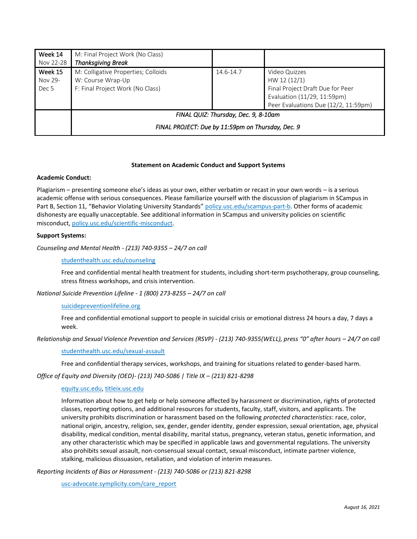| Week 14   | M: Final Project Work (No Class)                  |           |                                      |  |  |
|-----------|---------------------------------------------------|-----------|--------------------------------------|--|--|
| Nov 22-28 | <b>Thanksgiving Break</b>                         |           |                                      |  |  |
| Week 15   | M: Colligative Properties; Colloids               | 14.6-14.7 | Video Quizzes                        |  |  |
| Nov 29-   | W: Course Wrap-Up                                 |           | HW 12 (12/1)                         |  |  |
| Dec 5     | F: Final Project Work (No Class)                  |           | Final Project Draft Due for Peer     |  |  |
|           |                                                   |           | Evaluation (11/29, 11:59pm)          |  |  |
|           |                                                   |           | Peer Evaluations Due (12/2, 11:59pm) |  |  |
|           | FINAL QUIZ: Thursday, Dec. 9, 8-10am              |           |                                      |  |  |
|           | FINAL PROJECT: Due by 11:59pm on Thursday, Dec. 9 |           |                                      |  |  |

### **Statement on Academic Conduct and Support Systems**

#### **Academic Conduct:**

Plagiarism – presenting someone else's ideas as your own, either verbatim or recast in your own words – is a serious academic offense with serious consequences. Please familiarize yourself with the discussion of plagiarism in SCampus in Part B, Section 11, "Behavior Violating University Standards" [policy.usc.edu/scampus-part-b.](https://policy.usc.edu/scampus-part-b/) Other forms of academic dishonesty are equally unacceptable. See additional information in SCampus and university policies on scientific misconduct, [policy.usc.edu/scientific-misconduct.](http://policy.usc.edu/scientific-misconduct)

#### **Support Systems:**

*Counseling and Mental Health - (213) 740-9355 – 24/7 on call*

#### [studenthealth.usc.edu/counseling](https://studenthealth.usc.edu/counseling/)

Free and confidential mental health treatment for students, including short-term psychotherapy, group counseling, stress fitness workshops, and crisis intervention.

*National Suicide Prevention Lifeline - 1 (800) 273-8255 – 24/7 on call*

### [suicidepreventionlifeline.org](http://www.suicidepreventionlifeline.org/)

Free and confidential emotional support to people in suicidal crisis or emotional distress 24 hours a day, 7 days a week.

*Relationship and Sexual Violence Prevention and Services (RSVP) - (213) 740-9355(WELL), press "0" after hours – 24/7 on call*

#### [studenthealth.usc.edu/sexual-assault](https://studenthealth.usc.edu/sexual-assault/)

Free and confidential therapy services, workshops, and training for situations related to gender-based harm.

*Office of Equity and Diversity (OED)- (213) 740-5086 | Title IX – (213) 821-8298*

#### [equity.usc.edu,](https://equity.usc.edu/) [titleix.usc.edu](http://titleix.usc.edu/)

Information about how to get help or help someone affected by harassment or discrimination, rights of protected classes, reporting options, and additional resources for students, faculty, staff, visitors, and applicants. The university prohibits discrimination or harassment based on the following *protected characteristics*: race, color, national origin, ancestry, religion, sex, gender, gender identity, gender expression, sexual orientation, age, physical disability, medical condition, mental disability, marital status, pregnancy, veteran status, genetic information, and any other characteristic which may be specified in applicable laws and governmental regulations. The university also prohibits sexual assault, non-consensual sexual contact, sexual misconduct, intimate partner violence, stalking, malicious dissuasion, retaliation, and violation of interim measures.

*Reporting Incidents of Bias or Harassment - (213) 740-5086 or (213) 821-8298*

[usc-advocate.symplicity.com/care\\_report](https://usc-advocate.symplicity.com/care_report/)